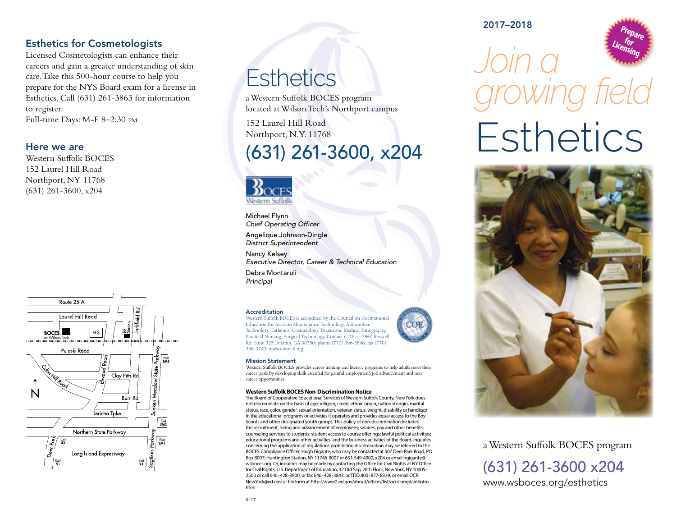#### Esthetics for Cosmetologists

Licensed Cosmetologists can enhance their careers and gain a greater understanding of skin care. Take this 500-hour course to help you prepare for the NYS Board exam for a license in Esthetics. Call (631) 261-3863 for information to register. Full-time Days: M-F 8–2:30 pm

#### Here we are

Western Suffolk BOCES 152 Laurel Hill Road Northport, NY 11768 (631) 261-3600, x204



## **Esthetics**

a Western Suffolk BOCES program located at Wilson Tech's Northport campus

152 Laurel Hill Road Northport, N.Y. 11768

### (631) 261-3600, x204



Michael Flynn *Chief Operating Officer* Angelique Johnson-Dingle *District Superintendent* Nancy Kelsey *Executive Director, Career & Technical Education* Debra Montaruli *Principal*

#### Accreditation

Western Suffolk BOCES is accredited by the Council on Occupational Education for Aviation Maintenance Technology, Automotive Technology, Esthetics, Cosmetology, Diagnostic Medical Sonography, Practical Nursing, Surgical Technology. Contact COE at: 7840 Roswell Rd. Suite 325, Atlanta, GA 30350; phone (770) 396-3898; fax (770) 396-3790; www.council.org



Western Suffolk BOCES provides career training and literacy programs to help adults meet their career goals by developing skills essential for gainful employment, job advancement and new career opportunities.

COL

#### **Western Suffolk BOCES Non-Discrimination Notice**

The Board of Cooperative Educational Services of Western Suffolk County, New York does not discriminate on the basis of age, religion, creed, ethnic origin, national origin, marital status, race, color, gender, sexual orientation, veteran status, weight, disability or handicap in the educational programs or activities it operates and provides equal access to the Boy Scouts and other designated youth groups. This policy of non-discrimination includes the recruitment, hiring and advancement of employees; salaries, pay and other benefits; counseling services to students; student access to course offerings; lawful political activities; educational programs and other activities; and the business activities of the Board. Inquiries concerning the application of regulations prohibiting discrimination may be referred to the BOCES Compliance Officer, Hugh Gigante, who may be contacted at 507 Deer Park Road; PO Box 8007; Huntington Station, NY 11746-9007 or 631-549-4900, x204 or email hgigante@ wsboces.org. Or, inquiries may be made by contacting the Office for Civil Rights at NY Office for Civil Rights, U.S. Department of Education, 32 Old Slip, 26th Floor, New York, NY 10005- 2500 or call 646-428-3900, or fax 646-428-3843, or TDD 800-877-8339, or email OCR. NewYork@ed.gov or file form at http://www2.ed.gov/about/offices/list/ocr/complaintintro. html

2017–2018



# *Join a growing field* **Esthetics**



a Western Suffolk BOCES program (631) 261-3600 x204 www.wsboces.org/esthetics